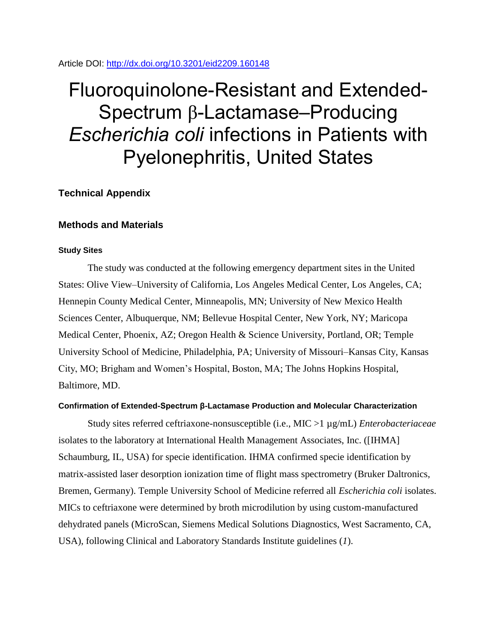Article DOI:<http://dx.doi.org/10.3201/eid2209.160148>

# Fluoroquinolone-Resistant and Extended-Spectrum β-Lactamase–Producing *Escherichia coli* infections in Patients with Pyelonephritis, United States

**Technical Appendix**

## **Methods and Materials**

## **Study Sites**

The study was conducted at the following emergency department sites in the United States: Olive View–University of California, Los Angeles Medical Center, Los Angeles, CA; Hennepin County Medical Center, Minneapolis, MN; University of New Mexico Health Sciences Center, Albuquerque, NM; Bellevue Hospital Center, New York, NY; Maricopa Medical Center, Phoenix, AZ; Oregon Health & Science University, Portland, OR; Temple University School of Medicine, Philadelphia, PA; University of Missouri–Kansas City, Kansas City, MO; Brigham and Women's Hospital, Boston, MA; The Johns Hopkins Hospital, Baltimore, MD.

#### **Confirmation of Extended-Spectrum β-Lactamase Production and Molecular Characterization**

Study sites referred ceftriaxone-nonsusceptible (i.e., MIC >1 µg/mL) *Enterobacteriaceae* isolates to the laboratory at International Health Management Associates, Inc. ([IHMA] Schaumburg, IL, USA) for specie identification. IHMA confirmed specie identification by matrix-assisted laser desorption ionization time of flight mass spectrometry (Bruker Daltronics, Bremen, Germany). Temple University School of Medicine referred all *Escherichia coli* isolates. MICs to ceftriaxone were determined by broth microdilution by using custom-manufactured dehydrated panels (MicroScan, Siemens Medical Solutions Diagnostics, West Sacramento, CA, USA), following Clinical and Laboratory Standards Institute guidelines (*1*).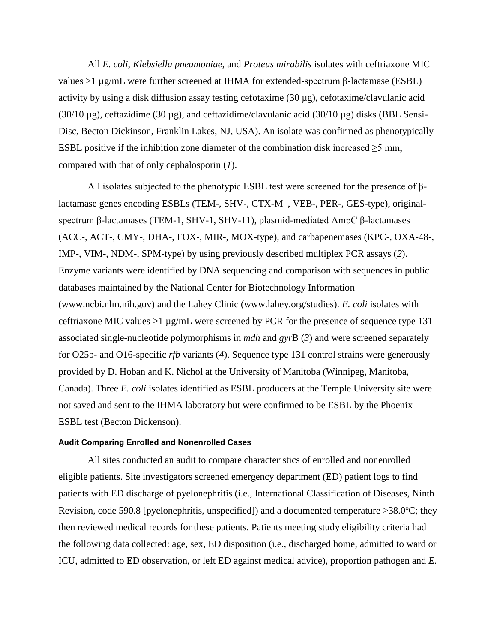All *E. coli*, *Klebsiella pneumoniae*, and *Proteus mirabilis* isolates with ceftriaxone MIC values  $>1 \mu$ g/mL were further screened at IHMA for extended-spectrum β-lactamase (ESBL) activity by using a disk diffusion assay testing cefotaxime  $(30 \mu g)$ , cefotaxime/clavulanic acid (30/10  $\mu$ g), ceftazidime (30  $\mu$ g), and ceftazidime/clavulanic acid (30/10  $\mu$ g) disks (BBL Sensi-Disc, Becton Dickinson, Franklin Lakes, NJ, USA). An isolate was confirmed as phenotypically ESBL positive if the inhibition zone diameter of the combination disk increased  $\geq$ 5 mm, compared with that of only cephalosporin (*1*).

All isolates subjected to the phenotypic ESBL test were screened for the presence of βlactamase genes encoding ESBLs (TEM-, SHV-, CTX-M–, VEB-, PER-, GES-type), originalspectrum β-lactamases (TEM-1, SHV-1, SHV-11), plasmid-mediated AmpC β-lactamases (ACC-, ACT-, CMY-, DHA-, FOX-, MIR-, MOX-type), and carbapenemases (KPC-, OXA-48-, IMP-, VIM-, NDM-, SPM-type) by using previously described multiplex PCR assays (*2*). Enzyme variants were identified by DNA sequencing and comparison with sequences in public databases maintained by the National Center for Biotechnology Information (www.ncbi.nlm.nih.gov) and the Lahey Clinic (www.lahey.org/studies). *E. coli* isolates with ceftriaxone MIC values >1 µg/mL were screened by PCR for the presence of sequence type 131– associated single-nucleotide polymorphisms in *mdh* and *gyr*B (*3*) and were screened separately for O25b- and O16-specific *rfb* variants (*4*). Sequence type 131 control strains were generously provided by D. Hoban and K. Nichol at the University of Manitoba (Winnipeg, Manitoba, Canada). Three *E. coli* isolates identified as ESBL producers at the Temple University site were not saved and sent to the IHMA laboratory but were confirmed to be ESBL by the Phoenix ESBL test (Becton Dickenson).

## **Audit Comparing Enrolled and Nonenrolled Cases**

All sites conducted an audit to compare characteristics of enrolled and nonenrolled eligible patients. Site investigators screened emergency department (ED) patient logs to find patients with ED discharge of pyelonephritis (i.e., International Classification of Diseases, Ninth Revision, code 590.8 [pyelonephritis, unspecified]) and a documented temperature  $>38.0^{\circ}C$ ; they then reviewed medical records for these patients. Patients meeting study eligibility criteria had the following data collected: age, sex, ED disposition (i.e., discharged home, admitted to ward or ICU, admitted to ED observation, or left ED against medical advice), proportion pathogen and *E.*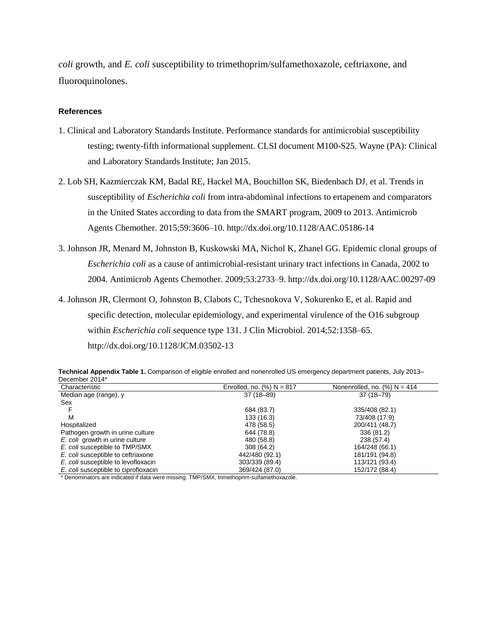*coli* growth, and *E. coli* susceptibility to trimethoprim/sulfamethoxazole, ceftriaxone, and fluoroquinolones.

#### **References**

- 1. Clinical and Laboratory Standards Institute. Performance standards for antimicrobial susceptibility testing; twenty-fifth informational supplement. CLSI document M100-S25. Wayne (PA): Clinical and Laboratory Standards Institute; Jan 2015.
- 2. Lob SH, Kazmierczak KM, Badal RE, Hackel MA, Bouchillon SK, Biedenbach DJ, et al. Trends in susceptibility of *Escherichia coli* from intra-abdominal infections to ertapenem and comparators in the United States according to data from the SMART program, 2009 to 2013. Antimicrob Agents Chemother. 2015;59:3606–10. <http://dx.doi.org/10.1128/AAC.05186-14>
- 3. Johnson JR, Menard M, Johnston B, Kuskowski MA, Nichol K, Zhanel GG. Epidemic clonal groups of *Escherichia coli* as a cause of antimicrobial-resistant urinary tract infections in Canada, 2002 to 2004. Antimicrob Agents Chemother. 2009;53:2733–9. <http://dx.doi.org/10.1128/AAC.00297-09>
- 4. Johnson JR, Clermont O, Johnston B, Clabots C, Tchesnokova V, Sokurenko E, et al. Rapid and specific detection, molecular epidemiology, and experimental virulence of the O16 subgroup within *Escherichia coli* sequence type 131. J Clin Microbiol. 2014;52:1358–65. <http://dx.doi.org/10.1128/JCM.03502-13>

| Technical Appendix Table 1. Comparison of eligible enrolled and nonenrolled US emergency department patients, July 2013– |  |  |  |  |  |
|--------------------------------------------------------------------------------------------------------------------------|--|--|--|--|--|
| December 2014*                                                                                                           |  |  |  |  |  |
| ____                                                                                                                     |  |  |  |  |  |

| Characteristic                       | Enrolled, no. $(\%) N = 817$ | Nonenrolled, no. $(\%)$ N = 414 |
|--------------------------------------|------------------------------|---------------------------------|
| Median age (range), y                | $37(18 - 89)$                | $37(18 - 79)$                   |
| Sex                                  |                              |                                 |
|                                      | 684 (83.7)                   | 335/408 (82.1)                  |
| M                                    | 133 (16.3)                   | 73/408 (17.9)                   |
| Hospitalized                         | 478 (58.5)                   | 200/411 (48.7)                  |
| Pathogen growth in urine culture     | 644 (78.8)                   | 336 (81.2)                      |
| E. coli growth in urine culture      | 480 (58.8)                   | 238 (57.4)                      |
| E. coli susceptible to TMP/SMX       | 308 (64.2)                   | 164/248 (66.1)                  |
| E. coli susceptible to ceftriaxone   | 442/480 (92.1)               | 181/191 (94.8)                  |
| E. coli susceptible to levofloxacin  | 303/339 (89.4)               | 113/121 (93.4)                  |
| E. coli susceptible to ciprofloxacin | 369/424 (87.0)               | 152/172 (88.4)                  |

\* Denominators are indicated if data were missing. TMP/SMX, trimethoprim-sulfamethoxazole.